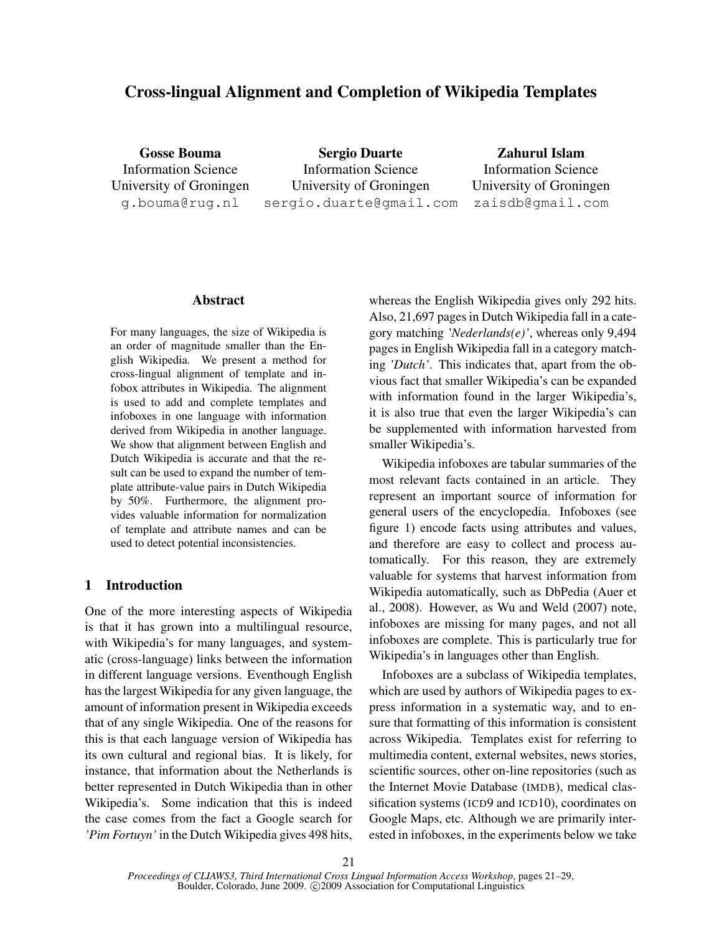# Cross-lingual Alignment and Completion of Wikipedia Templates

Gosse Bouma Information Science University of Groningen g.bouma@rug.nl

Sergio Duarte Information Science University of Groningen sergio.duarte@gmail.com

Zahurul Islam Information Science University of Groningen zaisdb@gmail.com

### Abstract

For many languages, the size of Wikipedia is an order of magnitude smaller than the English Wikipedia. We present a method for cross-lingual alignment of template and infobox attributes in Wikipedia. The alignment is used to add and complete templates and infoboxes in one language with information derived from Wikipedia in another language. We show that alignment between English and Dutch Wikipedia is accurate and that the result can be used to expand the number of template attribute-value pairs in Dutch Wikipedia by 50%. Furthermore, the alignment provides valuable information for normalization of template and attribute names and can be used to detect potential inconsistencies.

### 1 Introduction

One of the more interesting aspects of Wikipedia is that it has grown into a multilingual resource, with Wikipedia's for many languages, and systematic (cross-language) links between the information in different language versions. Eventhough English has the largest Wikipedia for any given language, the amount of information present in Wikipedia exceeds that of any single Wikipedia. One of the reasons for this is that each language version of Wikipedia has its own cultural and regional bias. It is likely, for instance, that information about the Netherlands is better represented in Dutch Wikipedia than in other Wikipedia's. Some indication that this is indeed the case comes from the fact a Google search for *'Pim Fortuyn'* in the Dutch Wikipedia gives 498 hits, whereas the English Wikipedia gives only 292 hits. Also, 21,697 pages in Dutch Wikipedia fall in a category matching *'Nederlands(e)'*, whereas only 9,494 pages in English Wikipedia fall in a category matching *'Dutch'*. This indicates that, apart from the obvious fact that smaller Wikipedia's can be expanded with information found in the larger Wikipedia's, it is also true that even the larger Wikipedia's can be supplemented with information harvested from smaller Wikipedia's.

Wikipedia infoboxes are tabular summaries of the most relevant facts contained in an article. They represent an important source of information for general users of the encyclopedia. Infoboxes (see figure 1) encode facts using attributes and values, and therefore are easy to collect and process automatically. For this reason, they are extremely valuable for systems that harvest information from Wikipedia automatically, such as DbPedia (Auer et al., 2008). However, as Wu and Weld (2007) note, infoboxes are missing for many pages, and not all infoboxes are complete. This is particularly true for Wikipedia's in languages other than English.

Infoboxes are a subclass of Wikipedia templates, which are used by authors of Wikipedia pages to express information in a systematic way, and to ensure that formatting of this information is consistent across Wikipedia. Templates exist for referring to multimedia content, external websites, news stories, scientific sources, other on-line repositories (such as the Internet Movie Database (IMDB), medical classification systems (ICD9 and ICD10), coordinates on Google Maps, etc. Although we are primarily interested in infoboxes, in the experiments below we take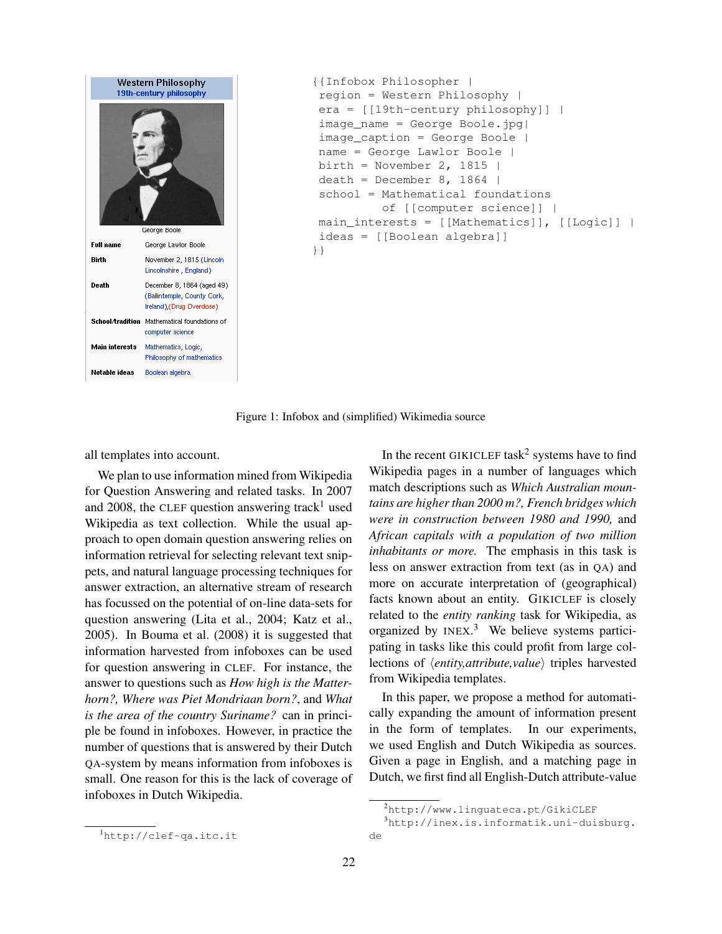

```
{{Infobox Philosopher |
region = Western Philosophy |
era = [[19th-century philosophy]] |
image_name = George Boole.jpg|
image_caption = George Boole |
name = George Lawlor Boole |
birth = November 2, 1815 |
death = December 8, 1864 |
school = Mathematical foundations
          of [[computer science]] |
main_interests = [[Mathematics]], [[Logic]] |
ideas = [[Boolean algebra]]
}}
```
Figure 1: Infobox and (simplified) Wikimedia source

all templates into account.

We plan to use information mined from Wikipedia for Question Answering and related tasks. In 2007 and 2008, the CLEF question answering track<sup>1</sup> used Wikipedia as text collection. While the usual approach to open domain question answering relies on information retrieval for selecting relevant text snippets, and natural language processing techniques for answer extraction, an alternative stream of research has focussed on the potential of on-line data-sets for question answering (Lita et al., 2004; Katz et al., 2005). In Bouma et al. (2008) it is suggested that information harvested from infoboxes can be used for question answering in CLEF. For instance, the answer to questions such as *How high is the Matterhorn?, Where was Piet Mondriaan born?*, and *What is the area of the country Suriname?* can in principle be found in infoboxes. However, in practice the number of questions that is answered by their Dutch QA-system by means information from infoboxes is small. One reason for this is the lack of coverage of infoboxes in Dutch Wikipedia.

In the recent GIKICLEF task<sup>2</sup> systems have to find Wikipedia pages in a number of languages which match descriptions such as *Which Australian mountains are higher than 2000 m?, French bridges which were in construction between 1980 and 1990,* and *African capitals with a population of two million inhabitants or more.* The emphasis in this task is less on answer extraction from text (as in QA) and more on accurate interpretation of (geographical) facts known about an entity. GIKICLEF is closely related to the *entity ranking* task for Wikipedia, as organized by INEX.<sup>3</sup> We believe systems participating in tasks like this could profit from large collections of *\entity,attribute,value*} triples harvested from Wikipedia templates.

In this paper, we propose a method for automatically expanding the amount of information present in the form of templates. In our experiments, we used English and Dutch Wikipedia as sources. Given a page in English, and a matching page in Dutch, we first find all English-Dutch attribute-value

<sup>2</sup>http://www.linguateca.pt/GikiCLEF

<sup>3</sup>http://inex.is.informatik.uni-duisburg. de

<sup>1</sup>http://clef-qa.itc.it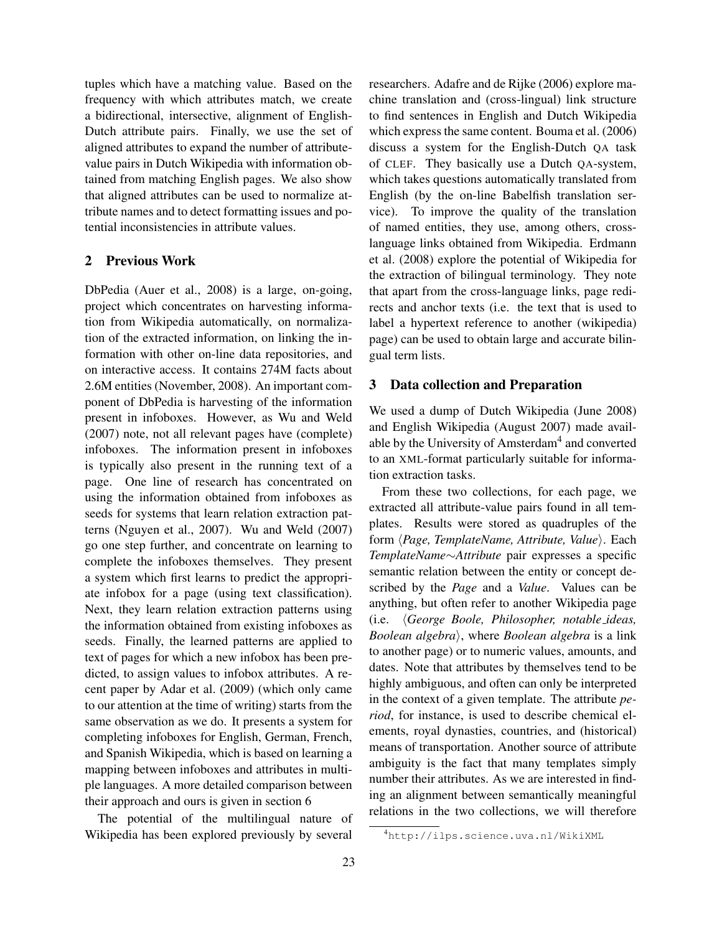tuples which have a matching value. Based on the frequency with which attributes match, we create a bidirectional, intersective, alignment of English-Dutch attribute pairs. Finally, we use the set of aligned attributes to expand the number of attributevalue pairs in Dutch Wikipedia with information obtained from matching English pages. We also show that aligned attributes can be used to normalize attribute names and to detect formatting issues and potential inconsistencies in attribute values.

### 2 Previous Work

DbPedia (Auer et al., 2008) is a large, on-going, project which concentrates on harvesting information from Wikipedia automatically, on normalization of the extracted information, on linking the information with other on-line data repositories, and on interactive access. It contains 274M facts about 2.6M entities (November, 2008). An important component of DbPedia is harvesting of the information present in infoboxes. However, as Wu and Weld (2007) note, not all relevant pages have (complete) infoboxes. The information present in infoboxes is typically also present in the running text of a page. One line of research has concentrated on using the information obtained from infoboxes as seeds for systems that learn relation extraction patterns (Nguyen et al., 2007). Wu and Weld (2007) go one step further, and concentrate on learning to complete the infoboxes themselves. They present a system which first learns to predict the appropriate infobox for a page (using text classification). Next, they learn relation extraction patterns using the information obtained from existing infoboxes as seeds. Finally, the learned patterns are applied to text of pages for which a new infobox has been predicted, to assign values to infobox attributes. A recent paper by Adar et al. (2009) (which only came to our attention at the time of writing) starts from the same observation as we do. It presents a system for completing infoboxes for English, German, French, and Spanish Wikipedia, which is based on learning a mapping between infoboxes and attributes in multiple languages. A more detailed comparison between their approach and ours is given in section 6

The potential of the multilingual nature of Wikipedia has been explored previously by several researchers. Adafre and de Rijke (2006) explore machine translation and (cross-lingual) link structure to find sentences in English and Dutch Wikipedia which express the same content. Bouma et al. (2006) discuss a system for the English-Dutch QA task of CLEF. They basically use a Dutch QA-system, which takes questions automatically translated from English (by the on-line Babelfish translation service). To improve the quality of the translation of named entities, they use, among others, crosslanguage links obtained from Wikipedia. Erdmann et al. (2008) explore the potential of Wikipedia for the extraction of bilingual terminology. They note that apart from the cross-language links, page redirects and anchor texts (i.e. the text that is used to label a hypertext reference to another (wikipedia) page) can be used to obtain large and accurate bilingual term lists.

### 3 Data collection and Preparation

We used a dump of Dutch Wikipedia (June 2008) and English Wikipedia (August 2007) made available by the University of Amsterdam<sup>4</sup> and converted to an XML-format particularly suitable for information extraction tasks.

From these two collections, for each page, we extracted all attribute-value pairs found in all templates. Results were stored as quadruples of the form *{Page, TemplateName, Attribute, Value}*. Each *TemplateName*∼*Attribute* pair expresses a specific semantic relation between the entity or concept described by the *Page* and a *Value*. Values can be anything, but often refer to another Wikipedia page (i.e. h*George Boole, Philosopher, notable ideas, Boolean algebra*), where *Boolean algebra* is a link to another page) or to numeric values, amounts, and dates. Note that attributes by themselves tend to be highly ambiguous, and often can only be interpreted in the context of a given template. The attribute *period*, for instance, is used to describe chemical elements, royal dynasties, countries, and (historical) means of transportation. Another source of attribute ambiguity is the fact that many templates simply number their attributes. As we are interested in finding an alignment between semantically meaningful relations in the two collections, we will therefore

<sup>4</sup>http://ilps.science.uva.nl/WikiXML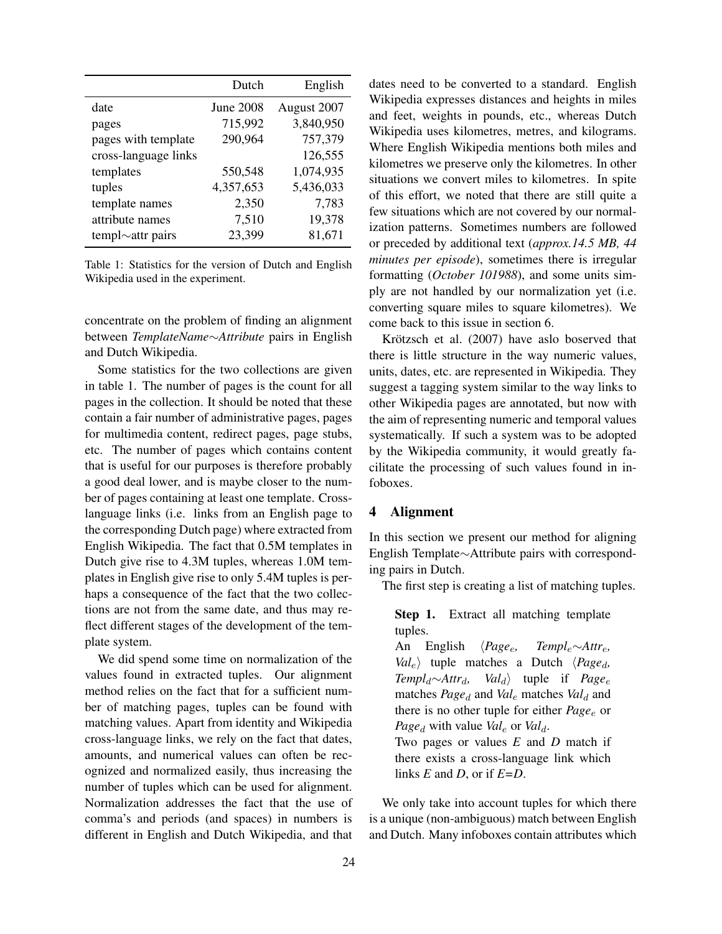|                         | Dutch     | English     |
|-------------------------|-----------|-------------|
| date                    | June 2008 | August 2007 |
| pages                   | 715,992   | 3,840,950   |
| pages with template     | 290,964   | 757,379     |
| cross-language links    |           | 126,555     |
| templates               | 550,548   | 1,074,935   |
| tuples                  | 4,357,653 | 5,436,033   |
| template names          | 2,350     | 7,783       |
| attribute names         | 7,510     | 19,378      |
| templ $\sim$ attr pairs | 23,399    | 81,671      |

Table 1: Statistics for the version of Dutch and English Wikipedia used in the experiment.

concentrate on the problem of finding an alignment between *TemplateName*∼*Attribute* pairs in English and Dutch Wikipedia.

Some statistics for the two collections are given in table 1. The number of pages is the count for all pages in the collection. It should be noted that these contain a fair number of administrative pages, pages for multimedia content, redirect pages, page stubs, etc. The number of pages which contains content that is useful for our purposes is therefore probably a good deal lower, and is maybe closer to the number of pages containing at least one template. Crosslanguage links (i.e. links from an English page to the corresponding Dutch page) where extracted from English Wikipedia. The fact that 0.5M templates in Dutch give rise to 4.3M tuples, whereas 1.0M templates in English give rise to only 5.4M tuples is perhaps a consequence of the fact that the two collections are not from the same date, and thus may reflect different stages of the development of the template system.

We did spend some time on normalization of the values found in extracted tuples. Our alignment method relies on the fact that for a sufficient number of matching pages, tuples can be found with matching values. Apart from identity and Wikipedia cross-language links, we rely on the fact that dates, amounts, and numerical values can often be recognized and normalized easily, thus increasing the number of tuples which can be used for alignment. Normalization addresses the fact that the use of comma's and periods (and spaces) in numbers is different in English and Dutch Wikipedia, and that dates need to be converted to a standard. English Wikipedia expresses distances and heights in miles and feet, weights in pounds, etc., whereas Dutch Wikipedia uses kilometres, metres, and kilograms. Where English Wikipedia mentions both miles and kilometres we preserve only the kilometres. In other situations we convert miles to kilometres. In spite of this effort, we noted that there are still quite a few situations which are not covered by our normalization patterns. Sometimes numbers are followed or preceded by additional text (*approx.14.5 MB, 44 minutes per episode*), sometimes there is irregular formatting (*October 101988*), and some units simply are not handled by our normalization yet (i.e. converting square miles to square kilometres). We come back to this issue in section 6.

Krötzsch et al. (2007) have aslo boserved that there is little structure in the way numeric values, units, dates, etc. are represented in Wikipedia. They suggest a tagging system similar to the way links to other Wikipedia pages are annotated, but now with the aim of representing numeric and temporal values systematically. If such a system was to be adopted by the Wikipedia community, it would greatly facilitate the processing of such values found in infoboxes.

# 4 Alignment

In this section we present our method for aligning English Template∼Attribute pairs with corresponding pairs in Dutch.

The first step is creating a list of matching tuples.

Step 1. Extract all matching template tuples. An English h*Page*e*, Templ*e∼*Attr*e*,*  $Val_e$  tuple matches a Dutch  $\langle Page_d, Templ_d \sim Attr_d, Val_d \rangle$  tuple if  $Page_e$ *Val*<sub>d</sub> tuple if *Page*<sub>e</sub> matches *Page*<sub>d</sub> and *Val*<sub>e</sub> matches *Val*<sub>d</sub> and there is no other tuple for either *Page*<sub>e</sub> or *Page*<sup>d</sup> with value *Val*<sub>e</sub> or *Val*<sup>d</sup>. Two pages or values *E* and *D* match if there exists a cross-language link which links *E* and *D*, or if *E=D*.

We only take into account tuples for which there is a unique (non-ambiguous) match between English and Dutch. Many infoboxes contain attributes which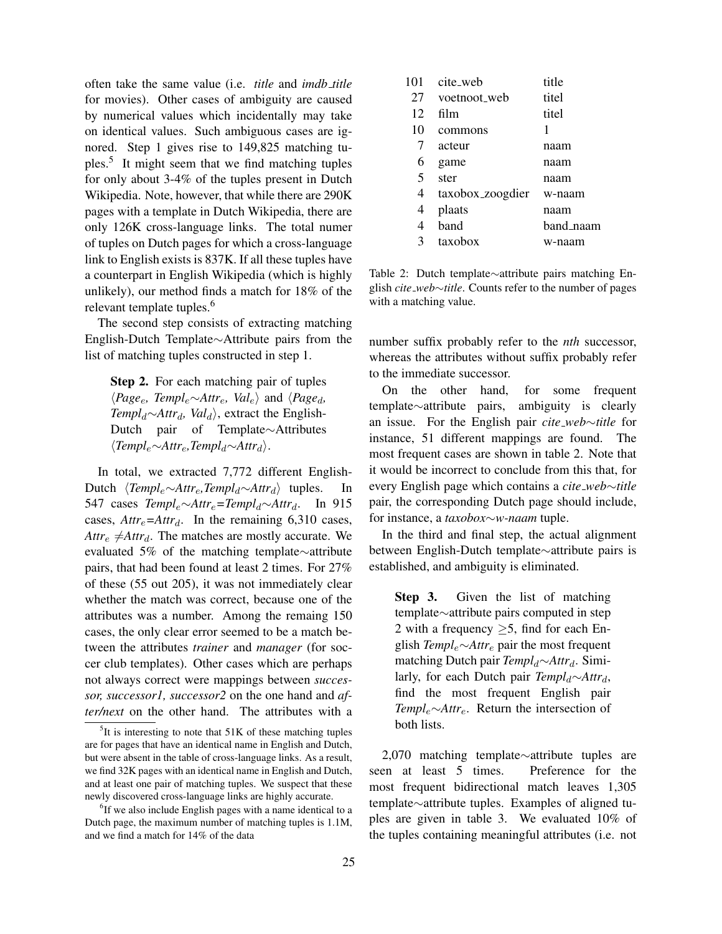often take the same value (i.e. *title* and *imdb title* for movies). Other cases of ambiguity are caused by numerical values which incidentally may take on identical values. Such ambiguous cases are ignored. Step 1 gives rise to 149,825 matching tuples.<sup>5</sup> It might seem that we find matching tuples for only about 3-4% of the tuples present in Dutch Wikipedia. Note, however, that while there are 290K pages with a template in Dutch Wikipedia, there are only 126K cross-language links. The total numer of tuples on Dutch pages for which a cross-language link to English exists is 837K. If all these tuples have a counterpart in English Wikipedia (which is highly unlikely), our method finds a match for 18% of the relevant template tuples.<sup>6</sup>

The second step consists of extracting matching English-Dutch Template∼Attribute pairs from the list of matching tuples constructed in step 1.

Step 2. For each matching pair of tuples  $\langle Page_e, Temple~\sim$ *Attr<sub>e</sub>, Val<sub>e</sub>* $\rangle$  and  $\langle Page_d,$ *Templ<sub>d</sub>*∼*Attr<sub>d</sub>, Val<sub>d</sub>*), extract the English-Dutch pair of Template∼Attributes h*Templ*e∼*Attr*e*,Templ*d∼*Attr*di.

In total, we extracted 7,772 different English-Dutch h*Templ*e∼*Attr*e*,Templ*d∼*Attr*di tuples. In 547 cases *Templ*e∼*Attr*e*=Templ*d∼*Attr*d. In 915 cases,  $Attr_e = A t t r_d$ . In the remaining 6,310 cases,  $Attr_e \neq$ *Attr<sub>d</sub>*. The matches are mostly accurate. We evaluated 5% of the matching template∼attribute pairs, that had been found at least 2 times. For 27% of these (55 out 205), it was not immediately clear whether the match was correct, because one of the attributes was a number. Among the remaing 150 cases, the only clear error seemed to be a match between the attributes *trainer* and *manager* (for soccer club templates). Other cases which are perhaps not always correct were mappings between *successor, successor1, successor2* on the one hand and *after/next* on the other hand. The attributes with a

| 101 | cite_web         | title     |
|-----|------------------|-----------|
| 27  | voetnoot_web     | titel     |
| 12  | film             | titel     |
| 10  | commons          | 1         |
| 7   | acteur           | naam      |
| 6   | game             | naam      |
| 5   | ster             | naam      |
| 4   | taxobox_zoogdier | w-naam    |
| 4   | plaats           | naam      |
| 4   | band             | band_naam |
| 3   | taxobox          | w-naam    |

Table 2: Dutch template∼attribute pairs matching English *cite web*∼*title*. Counts refer to the number of pages with a matching value.

number suffix probably refer to the *nth* successor, whereas the attributes without suffix probably refer to the immediate successor.

On the other hand, for some frequent template∼attribute pairs, ambiguity is clearly an issue. For the English pair *cite web*∼*title* for instance, 51 different mappings are found. The most frequent cases are shown in table 2. Note that it would be incorrect to conclude from this that, for every English page which contains a *cite web*∼*title* pair, the corresponding Dutch page should include, for instance, a *taxobox*∼*w-naam* tuple.

In the third and final step, the actual alignment between English-Dutch template∼attribute pairs is established, and ambiguity is eliminated.

Step 3. Given the list of matching template∼attribute pairs computed in step 2 with a frequency  $\geq$ 5, find for each English *Templ*e∼*Attr*<sup>e</sup> pair the most frequent matching Dutch pair *Templ*<sub>d</sub>∼*Attr*<sub>d</sub>. Similarly, for each Dutch pair *Templ*<sub>d</sub>∼*Attr<sub>d</sub>*, find the most frequent English pair *Templ*e∼*Attr*e. Return the intersection of both lists.

2,070 matching template∼attribute tuples are<br>en at least 5 times. Preference for the seen at least 5 times. most frequent bidirectional match leaves 1,305 template∼attribute tuples. Examples of aligned tuples are given in table 3. We evaluated 10% of the tuples containing meaningful attributes (i.e. not

 $5$ It is interesting to note that  $51K$  of these matching tuples are for pages that have an identical name in English and Dutch, but were absent in the table of cross-language links. As a result, we find 32K pages with an identical name in English and Dutch, and at least one pair of matching tuples. We suspect that these newly discovered cross-language links are highly accurate.

<sup>&</sup>lt;sup>6</sup>If we also include English pages with a name identical to a Dutch page, the maximum number of matching tuples is 1.1M, and we find a match for 14% of the data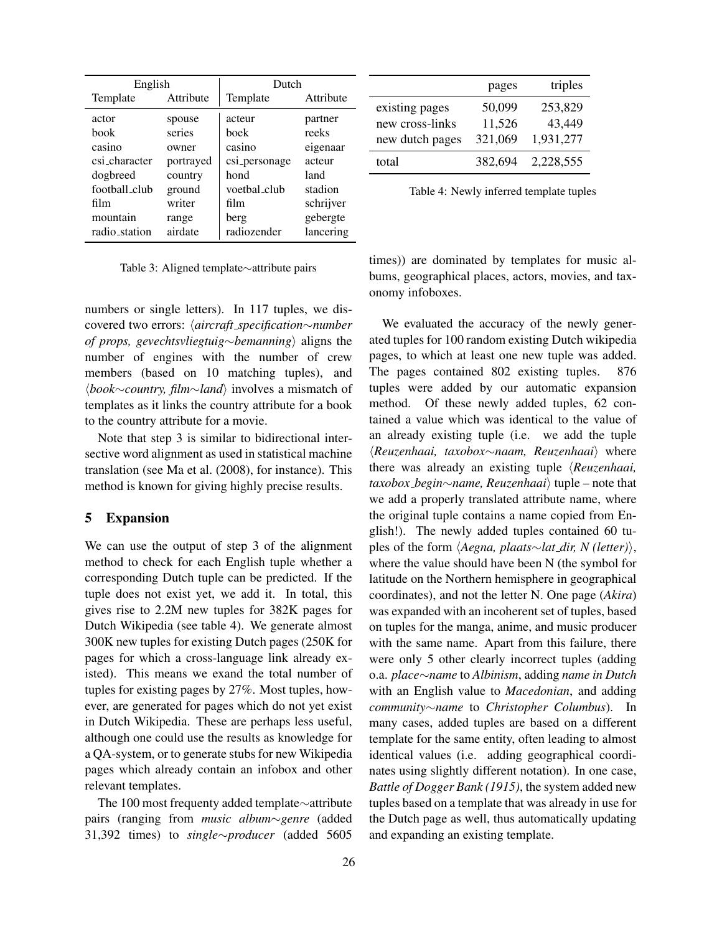| English       |           | Dutch         |           |  |
|---------------|-----------|---------------|-----------|--|
| Template      | Attribute | Template      | Attribute |  |
| actor         | spouse    | acteur        | partner   |  |
| book          | series    | boek          | reeks     |  |
| casino        | owner     | casino        | eigenaar  |  |
| csi character | portrayed | csi_personage | acteur    |  |
| dogbreed      | country   | hond          | land      |  |
| football_club | ground    | voetbal_club  | stadion   |  |
| film          | writer    | film          | schrijver |  |
| mountain      | range     | berg          | gebergte  |  |
| radio_station | airdate   | radiozender   | lancering |  |

Table 3: Aligned template∼attribute pairs

numbers or single letters). In 117 tuples, we discovered two errors: h*aircraft specification*∼*number of props, gevechtsvliegtuig∼bemanning*) aligns the number of engines with the number of crew members (based on 10 matching tuples), and h*book*∼*country, film*∼*land*i involves a mismatch of templates as it links the country attribute for a book to the country attribute for a movie.

Note that step 3 is similar to bidirectional intersective word alignment as used in statistical machine translation (see Ma et al. (2008), for instance). This method is known for giving highly precise results.

## 5 Expansion

We can use the output of step 3 of the alignment method to check for each English tuple whether a corresponding Dutch tuple can be predicted. If the tuple does not exist yet, we add it. In total, this gives rise to 2.2M new tuples for 382K pages for Dutch Wikipedia (see table 4). We generate almost 300K new tuples for existing Dutch pages (250K for pages for which a cross-language link already existed). This means we exand the total number of tuples for existing pages by 27%. Most tuples, however, are generated for pages which do not yet exist in Dutch Wikipedia. These are perhaps less useful, although one could use the results as knowledge for a QA-system, or to generate stubs for new Wikipedia pages which already contain an infobox and other relevant templates.

The 100 most frequenty added template∼attribute pairs (ranging from *music album*∼*genre* (added 31,392 times) to *single*∼*producer* (added 5605

|                 | pages   | triples   |
|-----------------|---------|-----------|
| existing pages  | 50,099  | 253,829   |
| new cross-links | 11,526  | 43,449    |
| new dutch pages | 321,069 | 1,931,277 |
| total           | 382,694 | 2,228,555 |

Table 4: Newly inferred template tuples

times)) are dominated by templates for music albums, geographical places, actors, movies, and taxonomy infoboxes.

We evaluated the accuracy of the newly generated tuples for 100 random existing Dutch wikipedia pages, to which at least one new tuple was added. The pages contained 802 existing tuples. 876 tuples were added by our automatic expansion method. Of these newly added tuples, 62 contained a value which was identical to the value of an already existing tuple (i.e. we add the tuple h*Reuzenhaai, taxobox*∼*naam, Reuzenhaai*i where there was already an existing tuple *(Reuzenhaai, taxobox\_begin∼name, Reuzenhaai* tuple – note that we add a properly translated attribute name, where the original tuple contains a name copied from English!). The newly added tuples contained 60 tuples of the form  $\langle Aegna, \text{ }plaats \sim lat\_dir, \text{ } N \text{ } (letter) \rangle$ , where the value should have been N (the symbol for latitude on the Northern hemisphere in geographical coordinates), and not the letter N. One page (*Akira*) was expanded with an incoherent set of tuples, based on tuples for the manga, anime, and music producer with the same name. Apart from this failure, there were only 5 other clearly incorrect tuples (adding o.a. *place*∼*name* to *Albinism*, adding *name in Dutch* with an English value to *Macedonian*, and adding *community*∼*name* to *Christopher Columbus*). In many cases, added tuples are based on a different template for the same entity, often leading to almost identical values (i.e. adding geographical coordinates using slightly different notation). In one case, *Battle of Dogger Bank (1915)*, the system added new tuples based on a template that was already in use for the Dutch page as well, thus automatically updating and expanding an existing template.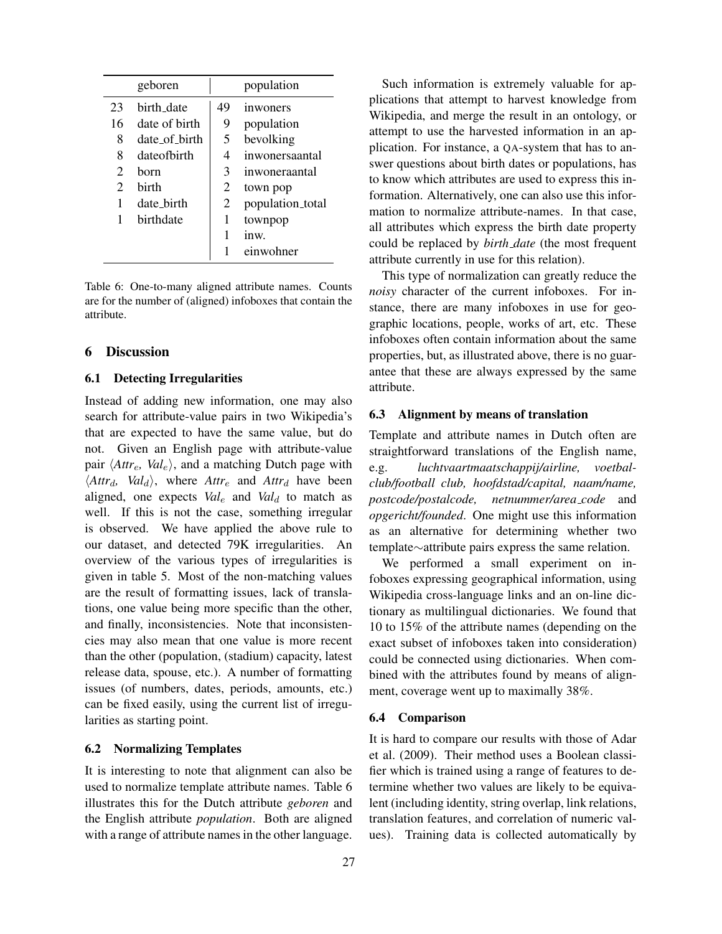|                             | geboren       |    | population       |
|-----------------------------|---------------|----|------------------|
| 23                          | birth date    | 49 | inwoners         |
| 16                          | date of birth | 9  | population       |
| 8                           | date of birth | 5  | bevolking        |
| 8                           | date of hirth | 4  | inwonersaantal   |
| 2                           | horn          | 3  | inwoneraantal    |
| $\mathcal{D}_{\mathcal{A}}$ | hirth         | 2  | town pop         |
| 1                           | date birth    | 2  | population_total |
| 1                           | birthdate     | 1  | townpop          |
|                             |               | 1  | inw.             |
|                             |               |    | einwohner        |

Table 6: One-to-many aligned attribute names. Counts are for the number of (aligned) infoboxes that contain the attribute.

#### 6 Discussion

#### 6.1 Detecting Irregularities

Instead of adding new information, one may also search for attribute-value pairs in two Wikipedia's that are expected to have the same value, but do not. Given an English page with attribute-value pair  $\langle$ *Attr<sub>e</sub>*, *Val*<sub>e</sub> $\rangle$ , and a matching Dutch page with  $\langle$ *Attr<sub>d</sub>*, *Val<sub>d</sub>* $\rangle$ , where *Attr<sub>e</sub>* and *Attr<sub>d</sub>* have been aligned, one expects  $Val_e$  and  $Val_d$  to match as well. If this is not the case, something irregular is observed. We have applied the above rule to our dataset, and detected 79K irregularities. An overview of the various types of irregularities is given in table 5. Most of the non-matching values are the result of formatting issues, lack of translations, one value being more specific than the other, and finally, inconsistencies. Note that inconsistencies may also mean that one value is more recent than the other (population, (stadium) capacity, latest release data, spouse, etc.). A number of formatting issues (of numbers, dates, periods, amounts, etc.) can be fixed easily, using the current list of irregularities as starting point.

#### 6.2 Normalizing Templates

It is interesting to note that alignment can also be used to normalize template attribute names. Table 6 illustrates this for the Dutch attribute *geboren* and the English attribute *population*. Both are aligned with a range of attribute names in the other language.

Such information is extremely valuable for applications that attempt to harvest knowledge from Wikipedia, and merge the result in an ontology, or attempt to use the harvested information in an application. For instance, a QA-system that has to answer questions about birth dates or populations, has to know which attributes are used to express this information. Alternatively, one can also use this information to normalize attribute-names. In that case, all attributes which express the birth date property could be replaced by *birth date* (the most frequent attribute currently in use for this relation).

This type of normalization can greatly reduce the *noisy* character of the current infoboxes. For instance, there are many infoboxes in use for geographic locations, people, works of art, etc. These infoboxes often contain information about the same properties, but, as illustrated above, there is no guarantee that these are always expressed by the same attribute.

#### 6.3 Alignment by means of translation

Template and attribute names in Dutch often are straightforward translations of the English name, e.g. *luchtvaartmaatschappij/airline, voetbalclub/football club, hoofdstad/capital, naam/name, postcode/postalcode, netnummer/area code* and *opgericht/founded*. One might use this information as an alternative for determining whether two template∼attribute pairs express the same relation.

We performed a small experiment on infoboxes expressing geographical information, using Wikipedia cross-language links and an on-line dictionary as multilingual dictionaries. We found that 10 to 15% of the attribute names (depending on the exact subset of infoboxes taken into consideration) could be connected using dictionaries. When combined with the attributes found by means of alignment, coverage went up to maximally 38%.

### 6.4 Comparison

It is hard to compare our results with those of Adar et al. (2009). Their method uses a Boolean classifier which is trained using a range of features to determine whether two values are likely to be equivalent (including identity, string overlap, link relations, translation features, and correlation of numeric values). Training data is collected automatically by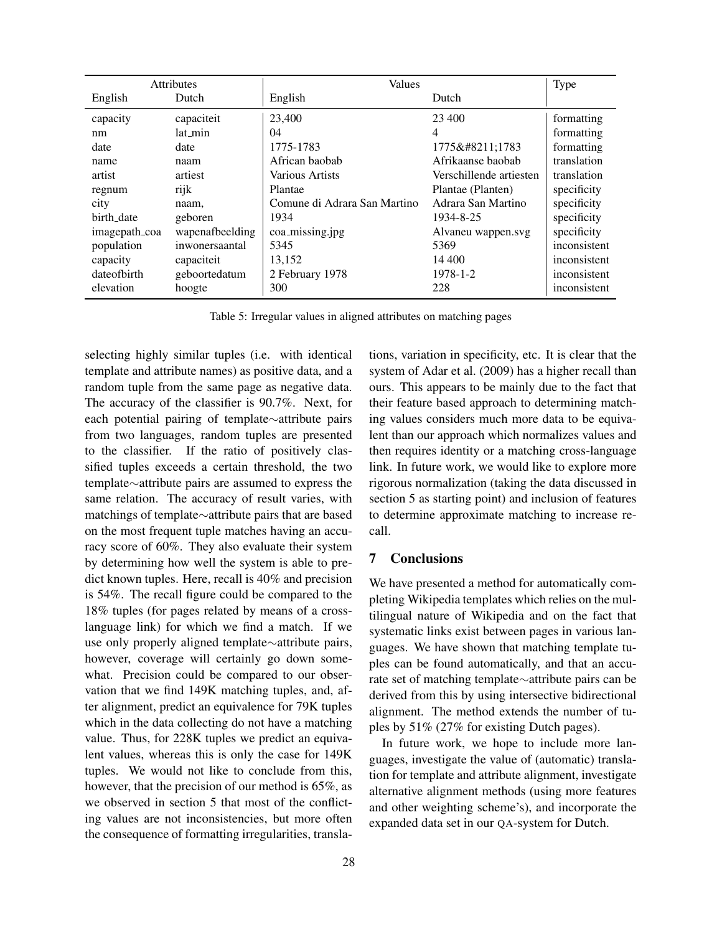|               | <b>Attributes</b> | <b>Values</b>                |                         | <b>Type</b>  |
|---------------|-------------------|------------------------------|-------------------------|--------------|
| English       | Dutch             | English                      | Dutch                   |              |
| capacity      | capaciteit        | 23,400                       | 23,400                  | formatting   |
| nm            | lat min           | 04                           | 4                       | formatting   |
| date          | date              | 1775-1783                    | 1775–1783               | formatting   |
| name          | naam              | African baobab               | Afrikaanse baobab       | translation  |
| artist        | artiest           | Various Artists              | Verschillende artiesten | translation  |
| regnum        | rijk              | Plantae                      | Plantae (Planten)       | specificity  |
| city          | naam,             | Comune di Adrara San Martino | Adrara San Martino      | specificity  |
| birth_date    | geboren           | 1934                         | 1934-8-25               | specificity  |
| imagepath_coa | wapenafbeelding   | coa_missing.jpg              | Alvaneu wappen.svg      | specificity  |
| population    | inwonersaantal    | 5345                         | 5369                    | inconsistent |
| capacity      | capaciteit        | 13,152                       | 14 400                  | inconsistent |
| dateofbirth   | geboortedatum     | 2 February 1978              | 1978-1-2                | inconsistent |
| elevation     | hoogte            | 300                          | 228                     | inconsistent |

Table 5: Irregular values in aligned attributes on matching pages

selecting highly similar tuples (i.e. with identical template and attribute names) as positive data, and a random tuple from the same page as negative data. The accuracy of the classifier is 90.7%. Next, for each potential pairing of template∼attribute pairs from two languages, random tuples are presented to the classifier. If the ratio of positively classified tuples exceeds a certain threshold, the two template∼attribute pairs are assumed to express the same relation. The accuracy of result varies, with matchings of template∼attribute pairs that are based on the most frequent tuple matches having an accuracy score of 60%. They also evaluate their system by determining how well the system is able to predict known tuples. Here, recall is 40% and precision is 54%. The recall figure could be compared to the 18% tuples (for pages related by means of a crosslanguage link) for which we find a match. If we use only properly aligned template∼attribute pairs, however, coverage will certainly go down somewhat. Precision could be compared to our observation that we find 149K matching tuples, and, after alignment, predict an equivalence for 79K tuples which in the data collecting do not have a matching value. Thus, for 228K tuples we predict an equivalent values, whereas this is only the case for 149K tuples. We would not like to conclude from this, however, that the precision of our method is 65%, as we observed in section 5 that most of the conflicting values are not inconsistencies, but more often the consequence of formatting irregularities, translations, variation in specificity, etc. It is clear that the system of Adar et al. (2009) has a higher recall than ours. This appears to be mainly due to the fact that their feature based approach to determining matching values considers much more data to be equivalent than our approach which normalizes values and then requires identity or a matching cross-language link. In future work, we would like to explore more rigorous normalization (taking the data discussed in section 5 as starting point) and inclusion of features to determine approximate matching to increase recall.

### 7 Conclusions

We have presented a method for automatically completing Wikipedia templates which relies on the multilingual nature of Wikipedia and on the fact that systematic links exist between pages in various languages. We have shown that matching template tuples can be found automatically, and that an accurate set of matching template∼attribute pairs can be derived from this by using intersective bidirectional alignment. The method extends the number of tuples by 51% (27% for existing Dutch pages).

In future work, we hope to include more languages, investigate the value of (automatic) translation for template and attribute alignment, investigate alternative alignment methods (using more features and other weighting scheme's), and incorporate the expanded data set in our QA-system for Dutch.